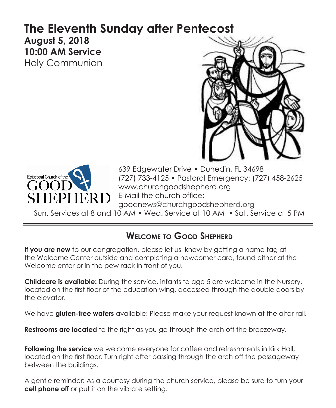# **The Eleventh Sunday after Pentecost**

**August 5, 2018 10:00 AM Service**  Holy Communion





639 Edgewater Drive • Dunedin, FL 34698 (727) 733-4125 • Pastoral Emergency: (727) 458-2625 www.churchgoodshepherd.org E-Mail the church office:

goodnews@churchgoodshepherd.org

Sun. Services at 8 and 10 AM • Wed. Service at 10 AM • Sat. Service at 5 PM

## **Welcome to Good Shepherd**

**If you are new** to our congregation, please let us know by getting a name tag at the Welcome Center outside and completing a newcomer card, found either at the Welcome enter or in the pew rack in front of you.

**Childcare is available:** During the service, infants to age 5 are welcome in the Nursery, located on the first floor of the education wing, accessed through the double doors by the elevator.

We have **gluten-free wafers** available: Please make your request known at the altar rail.

**Restrooms are located** to the right as you go through the arch off the breezeway.

**Following the service** we welcome everyone for coffee and refreshments in Kirk Hall, located on the first floor. Turn right after passing through the arch off the passageway between the buildings.

A gentle reminder: As a courtesy during the church service, please be sure to turn your **cell phone off** or put it on the vibrate setting.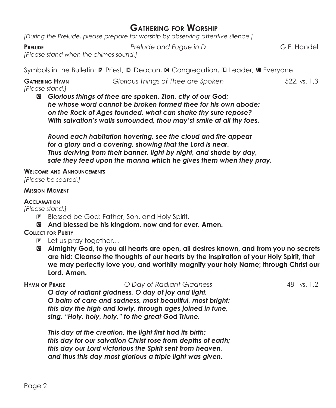## **Gathering for Worship**

*[During the Prelude, please prepare for worship by observing attentive silence.]*

### **Prelude** *Prelude and Fugue in D* G.F. Handel

*[Please stand when the chimes sound.]*

Symbols in the Bulletin:  $\mathbb D$  Priest,  $\mathbb D$  Deacon,  $\mathbb Q$  Congregation,  $\mathbb D$  Leader,  $\mathbb Q$  Everyone.

**Gathering Hymn** *Glorious Things of Thee are Spoken* 522, vs. 1,3

*[Please stand.]*

C *Glorious things of thee are spoken, Zion, city of our God; he whose word cannot be broken formed thee for his own abode; on the Rock of Ages founded, what can shake thy sure repose? With salvation's walls surrounded, thou may'st smile at all thy foes.*

*Round each habitation hovering, see the cloud and fire appear for a glory and a covering, showing that the Lord is near. Thus deriving from their banner, light by night, and shade by day, safe they feed upon the manna which he gives them when they pray.*

**Welcome and Announcements** *[Please be seated.]*

#### **Mission Moment**

### **Acclamation**

*[Please stand.]*

- P Blessed be God: Father, Son, and Holy Spirit.
- C **And blessed be his kingdom, now and for ever. Amen.**

**Collect for Purity**

- P Let us pray together…
- C **Almighty God, to you all hearts are open, all desires known, and from you no secrets are hid: Cleanse the thoughts of our hearts by the inspiration of your Holy Spirit, that we may perfectly love you, and worthily magnify your holy Name; through Christ our Lord. Amen.**

**Hymn of Praise** *O Day of Radiant Gladness* 48, vs. 1,2

*O day of radiant gladness, O day of joy and light, O balm of care and sadness, most beautiful, most bright; this day the high and lowly, through ages joined in tune, sing, "Holy, holy, holy," to the great God Triune.*

*This day at the creation, the light first had its birth; this day for our salvation Christ rose from depths of earth; this day our Lord victorious the Spirit sent from heaven, and thus this day most glorious a triple light was given.*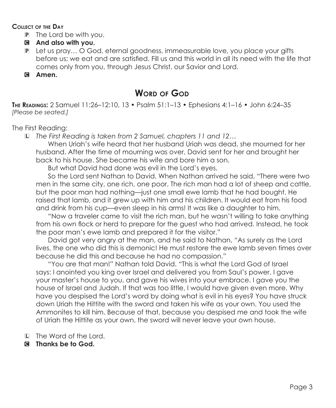### **Collect of the Day**

- P The Lord be with you.
- C **And also with you.**
- P Let us pray… O God, eternal goodness, immeasurable love, you place your gifts before us; we eat and are satisfied. Fill us and this world in all its need with the life that comes only from you, through Jesus Christ, our Savior and Lord.
- C **Amen.**

## **Word of God**

**The Readings:** 2 Samuel 11:26–12:10, 13 • Psalm 51:1–13 • Ephesians 4:1–16 • John 6:24–35 *[Please be seated.]*

The First Reading:

L *The First Reading is taken from 2 Samuel, chapters 11 and 12…*

 When Uriah's wife heard that her husband Uriah was dead, she mourned for her husband. After the time of mourning was over, David sent for her and brought her back to his house. She became his wife and bore him a son.

But what David had done was evil in the Lord's eyes.

So the Lord sent Nathan to David. When Nathan arrived he said, "There were two men in the same city, one rich, one poor. The rich man had a lot of sheep and cattle, but the poor man had nothing—just one small ewe lamb that he had bought. He raised that lamb, and it grew up with him and his children. It would eat from his food and drink from his cup—even sleep in his arms! It was like a daughter to him.

 "Now a traveler came to visit the rich man, but he wasn't willing to take anything from his own flock or herd to prepare for the guest who had arrived. Instead, he took the poor man's ewe lamb and prepared it for the visitor."

 David got very angry at the man, and he said to Nathan, "As surely as the Lord lives, the one who did this is demonic! He must restore the ewe lamb seven times over because he did this and because he had no compassion."

"You are that man!" Nathan told David. "This is what the Lord God of Israel says: I anointed you king over Israel and delivered you from Saul's power. I gave your master's house to you, and gave his wives into your embrace. I gave you the house of Israel and Judah. If that was too little, I would have given even more. Why have you despised the Lord's word by doing what is evil in his eyes? You have struck down Uriah the Hittite with the sword and taken his wife as your own. You used the Ammonites to kill him. Because of that, because you despised me and took the wife of Uriah the Hittite as your own, the sword will never leave your own house.

- L The Word of the Lord.
- C **Thanks be to God.**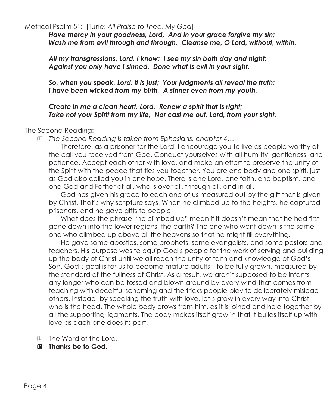Metrical Psalm 51: [Tune: *All Praise to Thee, My God*]

*Have mercy in your goodness, Lord, And in your grace forgive my sin; Wash me from evil through and through, Cleanse me, O Lord, without, within.*

*All my transgressions, Lord, I know; I see my sin both day and night; Against you only have I sinned, Done what is evil in your sight.*

*So, when you speak, Lord, it is just; Your judgments all reveal the truth; I have been wicked from my birth, A sinner even from my youth.*

### *Create in me a clean heart, Lord, Renew a spirit that is right; Take not your Spirit from my life, Nor cast me out, Lord, from your sight.*

### The Second Reading:

L *The Second Reading is taken from Ephesians, chapter 4…*

Therefore, as a prisoner for the Lord, I encourage you to live as people worthy of the call you received from God. Conduct yourselves with all humility, gentleness, and patience. Accept each other with love, and make an effort to preserve the unity of the Spirit with the peace that ties you together. You are one body and one spirit, just as God also called you in one hope. There is one Lord, one faith, one baptism, and one God and Father of all, who is over all, through all, and in all.

 God has given his grace to each one of us measured out by the gift that is given by Christ. That's why scripture says, When he climbed up to the heights, he captured prisoners, and he gave gifts to people.

What does the phrase "he climbed up" mean if it doesn't mean that he had first gone down into the lower regions, the earth? The one who went down is the same one who climbed up above all the heavens so that he might fill everything.

 He gave some apostles, some prophets, some evangelists, and some pastors and teachers. His purpose was to equip God's people for the work of serving and building up the body of Christ until we all reach the unity of faith and knowledge of God's Son. God's goal is for us to become mature adults—to be fully grown, measured by the standard of the fullness of Christ. As a result, we aren't supposed to be infants any longer who can be tossed and blown around by every wind that comes from teaching with deceitful scheming and the tricks people play to deliberately mislead others. Instead, by speaking the truth with love, let's grow in every way into Christ, who is the head. The whole body grows from him, as it is joined and held together by all the supporting ligaments. The body makes itself grow in that it builds itself up with love as each one does its part.

- L The Word of the Lord.
- C **Thanks be to God.**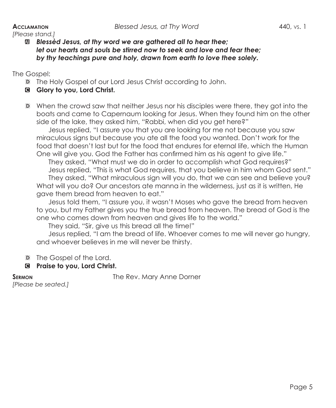*[Please stand.]*

 $\mathbf{I}$  Blessèd Jesus, at thy word we are gathered all to hear thee;  *let our hearts and souls be stirred now to seek and love and fear thee; by thy teachings pure and holy, drawn from earth to love thee solely.*

The Gospel:

- D The Holy Gospel of our Lord Jesus Christ according to John.
- C **Glory to you, Lord Christ.**
- D When the crowd saw that neither Jesus nor his disciples were there, they got into the boats and came to Capernaum looking for Jesus. When they found him on the other side of the lake, they asked him, "Rabbi, when did you get here?"

 Jesus replied, "I assure you that you are looking for me not because you saw miraculous signs but because you ate all the food you wanted. Don't work for the food that doesn't last but for the food that endures for eternal life, which the Human One will give you. God the Father has confirmed him as his agent to give life."

They asked, "What must we do in order to accomplish what God requires?" Jesus replied, "This is what God requires, that you believe in him whom God sent." They asked, "What miraculous sign will you do, that we can see and believe you? What will you do? Our ancestors ate manna in the wilderness, just as it is written, He gave them bread from heaven to eat."

 Jesus told them, "I assure you, it wasn't Moses who gave the bread from heaven to you, but my Father gives you the true bread from heaven. The bread of God is the one who comes down from heaven and gives life to the world."

They said, "Sir, give us this bread all the time!"

 Jesus replied, "I am the bread of life. Whoever comes to me will never go hungry, and whoever believes in me will never be thirsty.

- D The Gospel of the Lord.
- C **Praise to you, Lord Christ.**

**SERMON** The Rev. Mary Anne Dorner

*[Please be seated.]*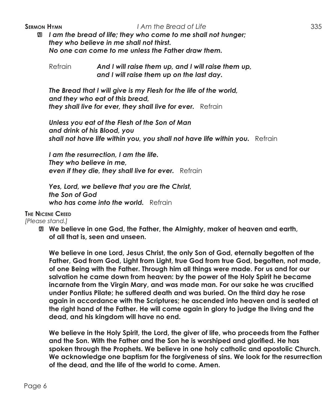a *I am the bread of life; they who come to me shall not hunger; they who believe in me shall not thirst. No one can come to me unless the Father draw them.*

Refrain *And I will raise them up, and I will raise them up, and I will raise them up on the last day.*

*The Bread that I will give is my Flesh for the life of the world, and they who eat of this bread, they shall live for ever, they shall live for ever.* **Refrain** 

*Unless you eat of the Flesh of the Son of Man and drink of his Blood, you shall not have life within you, you shall not have life within you.* Refrain

*I am the resurrection, I am the life. They who believe in me, even if they die, they shall live for ever.* Refrain

*Yes, Lord, we believe that you are the Christ, the Son of God* **who has come into the world.** Refrain

**The Nicene Creed**

*[Please stand.]*

a **We believe in one God, the Father, the Almighty, maker of heaven and earth, of all that is, seen and unseen.**

 **We believe in one Lord, Jesus Christ, the only Son of God, eternally begotten of the Father, God from God, Light from Light, true God from true God, begotten, not made, of one Being with the Father. Through him all things were made. For us and for our salvation he came down from heaven: by the power of the Holy Spirit he became incarnate from the Virgin Mary, and was made man. For our sake he was crucified under Pontius Pilate; he suffered death and was buried. On the third day he rose again in accordance with the Scriptures; he ascended into heaven and is seated at the right hand of the Father. He will come again in glory to judge the living and the dead, and his kingdom will have no end.**

 **We believe in the Holy Spirit, the Lord, the giver of life, who proceeds from the Father and the Son. With the Father and the Son he is worshiped and glorified. He has spoken through the Prophets. We believe in one holy catholic and apostolic Church. We acknowledge one baptism for the forgiveness of sins. We look for the resurrection of the dead, and the life of the world to come. Amen.**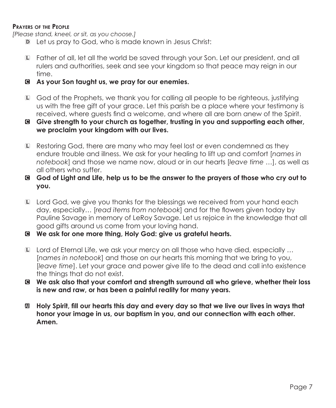### **Prayers of the People**

*[Please stand, kneel, or sit, as you choose.]*

- D Let us pray to God, who is made known in Jesus Christ:
- L Father of all, let all the world be saved through your Son. Let our president, and all rulers and authorities, seek and see your kingdom so that peace may reign in our time.
- C **As your Son taught us, we pray for our enemies.**
- L God of the Prophets, we thank you for calling all people to be righteous, justifying us with the free gift of your grace. Let this parish be a place where your testimony is received, where guests find a welcome, and where all are born anew of the Spirit.
- G Give strength to your church as together, trusting in you and supporting each other, **we proclaim your kingdom with our lives.**
- L Restoring God, there are many who may feel lost or even condemned as they endure trouble and illness. We ask for your healing to lift up and comfort [*names in notebook*] and those we name now, aloud or in our hearts [*leave time …*], as well as all others who suffer.
- C **God of Light and Life, help us to be the answer to the prayers of those who cry out to you.**
- L Lord God, we give you thanks for the blessings we received from your hand each day, especially… [*read items from notebook*] and for the flowers given today by Pauline Savage in memory of LeRoy Savage. Let us rejoice in the knowledge that all good gifts around us come from your loving hand.
- C **We ask for one more thing, Holy God: give us grateful hearts.**
- L Lord of Eternal Life, we ask your mercy on all those who have died, especially … [*names in notebook*] and those on our hearts this morning that we bring to you, [*leave time*]. Let your grace and power give life to the dead and call into existence the things that do not exist.
- C **We ask also that your comfort and strength surround all who grieve, whether their loss is new and raw, or has been a painful reality for many years.**
- **M** Holy Spirit, fill our hearts this day and every day so that we live our lives in ways that **honor your image in us, our baptism in you, and our connection with each other. Amen.**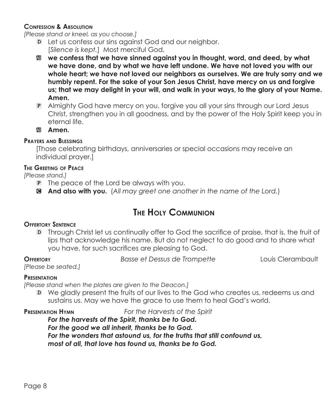#### **Confession & Absolution**

*[Please stand or kneel, as you choose.]*

- D Let us confess our sins against God and our neighbor. [*Silence is kept.*] Most merciful God,
- a **we confess that we have sinned against you in thought, word, and deed, by what we have done, and by what we have left undone. We have not loved you with our whole heart; we have not loved our neighbors as ourselves. We are truly sorry and we humbly repent. For the sake of your Son Jesus Christ, have mercy on us and forgive us; that we may delight in your will, and walk in your ways, to the glory of your Name. Amen.**
- P Almighty God have mercy on you, forgive you all your sins through our Lord Jesus Christ, strengthen you in all goodness, and by the power of the Holy Spirit keep you in eternal life.
- **M** Amen

### **Prayers and Blessings**

[Those celebrating birthdays, anniversaries or special occasions may receive an individual prayer.]

### **The Greeting of Peace**

*[Please stand.]*

- P The peace of the Lord be always with you.
- C **And also with you.** (*All may greet one another in the name of the Lord.*)

## **The Holy Communion**

#### **Offertory Sentence**

D Through Christ let us continually offer to God the sacrifice of praise, that is, the fruit of lips that acknowledge his name. But do not neglect to do good and to share what you have, for such sacrifices are pleasing to God.

**Offertory** *Basse et Dessus de Trompette* Louis Clerambault

*[Please be seated.]*

### **Presentation**

*[Please stand when the plates are given to the Deacon.]*

D We gladly present the fruits of our lives to the God who creates us, redeems us and sustains us. May we have the grace to use them to heal God's world.

**Presentation Hymn** *For the Harvests of the Spirit*

*For the harvests of the Spirit, thanks be to God.*

*For the good we all inherit, thanks be to God.*

*For the wonders that astound us, for the truths that still confound us, most of all, that love has found us, thanks be to God.*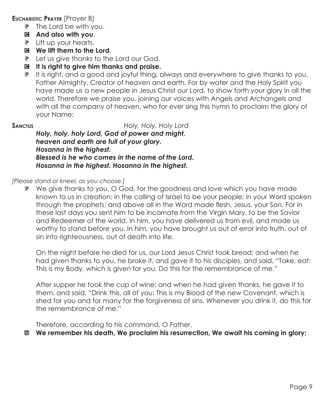**Eucharistic Prayer** [Prayer B]

- P The Lord be with you.
- C **And also with you**.
- P Lift up your hearts.
- C **We lift them to the Lord**.
- P Let us give thanks to the Lord our God.
- C **It is right to give him thanks and praise.**
- P It is right, and a good and joyful thing, always and everywhere to give thanks to you, Father Almighty, Creator of heaven and earth. For by water and the Holy Spirit you have made us a new people in Jesus Christ our Lord, to show forth your glory in all the world. Therefore we praise you, joining our voices with Angels and Archangels and with all the company of heaven, who for ever sing this hymn to proclaim the glory of your Name:

**Sanctus** *Holy, Holy, Holy Lord*

*Holy, holy, holy Lord, God of power and might, heaven and earth are full of your glory. Hosanna in the highest. Blessed is he who comes in the name of the Lord. Hosanna in the highest. Hosanna in the highest.*

*[Please stand or kneel, as you choose.]*

P We give thanks to you, O God, for the goodness and love which you have made known to us in creation; in the calling of Israel to be your people; in your Word spoken through the prophets; and above all in the Word made flesh, Jesus, your Son. For in these last days you sent him to be incarnate from the Virgin Mary, to be the Savior and Redeemer of the world. In him, you have delivered us from evil, and made us worthy to stand before you. In him, you have brought us out of error into truth, out of sin into righteousness, out of death into life.

 On the night before he died for us, our Lord Jesus Christ took bread; and when he had given thanks to you, he broke it, and gave it to his disciples, and said, "Take, eat: This is my Body, which is given for you. Do this for the remembrance of me."

 After supper he took the cup of wine; and when he had given thanks, he gave it to them, and said, "Drink this, all of you: This is my Blood of the new Covenant, which is shed for you and for many for the forgiveness of sins. Whenever you drink it, do this for the remembrance of me."

Therefore, according to his command, O Father,

### a **We remember his death, We proclaim his resurrection, We await his coming in glory;**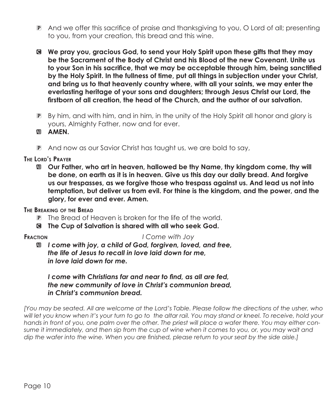- P And we offer this sacrifice of praise and thanksgiving to you, O Lord of all; presenting to you, from your creation, this bread and this wine.
- C **We pray you, gracious God, to send your Holy Spirit upon these gifts that they may be the Sacrament of the Body of Christ and his Blood of the new Covenant. Unite us to your Son in his sacrifice, that we may be acceptable through him, being sanctified by the Holy Spirit. In the fullness of time, put all things in subjection under your Christ, and bring us to that heavenly country where, with all your saints, we may enter the everlasting heritage of your sons and daughters; through Jesus Christ our Lord, the firstborn of all creation, the head of the Church, and the author of our salvation.**
- P By him, and with him, and in him, in the unity of the Holy Spirit all honor and glory is yours, Almighty Father, now and for ever.
- **M AMEN**.
- P And now as our Savior Christ has taught us, we are bold to say,

#### **The Lord's Prayer**

 $\mathbf{u}$  **Our Father, who art in heaven, hallowed be thy Name, thy kingdom come, thy will be done, on earth as it is in heaven. Give us this day our daily bread. And forgive us our trespasses, as we forgive those who trespass against us. And lead us not into temptation, but deliver us from evil. For thine is the kingdom, and the power, and the glory, for ever and ever. Amen.**

#### **The Breaking of the Bread**

- P The Bread of Heaven is broken for the life of the world.
- C **The Cup of Salvation is shared with all who seek God.**

### **Fraction** *I Come with Joy*

a *I come with joy, a child of God, forgiven, loved, and free, the life of Jesus to recall in love laid down for me, in love laid down for me.*

#### *I come with Christians far and near to find, as all are fed, the new community of love in Christ's communion bread, in Christ's communion bread.*

*[You may be seated. All are welcome at the Lord's Table. Please follow the directions of the usher, who will let you know when it's your turn to go to the altar rail. You may stand or kneel. To receive, hold your hands in front of you, one palm over the other. The priest will place a wafer there. You may either consume it immediately, and then sip from the cup of wine when it comes to you, or, you may wait and dip the wafer into the wine. When you are finished, please return to your seat by the side aisle.]*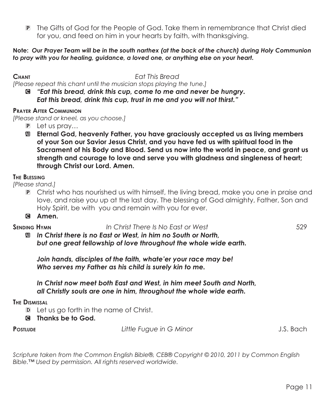P The Gifts of God for the People of God. Take them in remembrance that Christ died for you, and feed on him in your hearts by faith, with thanksgiving.

**Note:** *Our Prayer Team will be in the south narthex (at the back of the church) during Holy Communion to pray with you for healing, guidance, a loved one, or anything else on your heart.* 

**Chant** *Eat This Bread*

*[Please repeat this chant until the musician stops playing the tune.]*

C *"Eat this bread, drink this cup, come to me and never be hungry. Eat this bread, drink this cup, trust in me and you will not thirst."*

### **Prayer After Communion**

*[Please stand or kneel, as you choose.]*

- P Let us pray…
- a **Eternal God, heavenly Father, you have graciously accepted us as living members of your Son our Savior Jesus Christ, and you have fed us with spiritual food in the Sacrament of his Body and Blood. Send us now into the world in peace, and grant us strength and courage to love and serve you with gladness and singleness of heart; through Christ our Lord. Amen.**

### **The Blessing**

*[Please stand.]*

- P Christ who has nourished us with himself, the living bread, make you one in praise and love, and raise you up at the last day. The blessing of God almighty, Father, Son and Holy Spirit, be with you and remain with you for ever.
- C **Amen.**

**Sending Hymn** *In Christ There Is No East or West* 529

a *In Christ there is no East or West, in him no South or North, but one great fellowship of love throughout the whole wide earth.*

*Join hands, disciples of the faith, whate'er your race may be! Who serves my Father as his child is surely kin to me.*

*In Christ now meet both East and West, in him meet South and North, all Christly souls are one in him, throughout the whole wide earth.*

#### **The Dismissal**

- D Let us go forth in the name of Christ.
- C **Thanks be to God.**

**Postlude** *Little Fugue in G Minor* J.S. Bach

*Scripture taken from the Common English Bible®, CEB® Copyright © 2010, 2011 by Common English Bible.™ Used by permission. All rights reserved worldwide.*